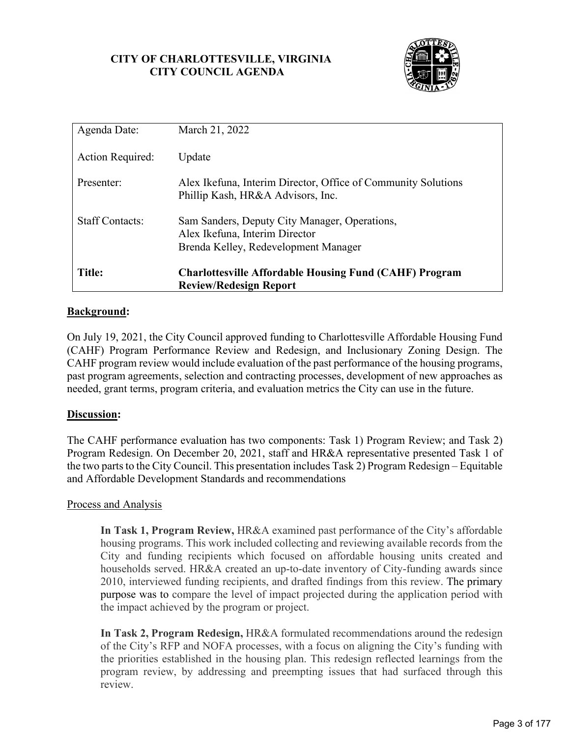## **CITY OF CHARLOTTESVILLE, VIRGINIA CITY COUNCIL AGENDA**



| Agenda Date:            | March 21, 2022                                                                                                          |
|-------------------------|-------------------------------------------------------------------------------------------------------------------------|
| <b>Action Required:</b> | Update                                                                                                                  |
| Presenter:              | Alex Ikefuna, Interim Director, Office of Community Solutions<br>Phillip Kash, HR&A Advisors, Inc.                      |
| <b>Staff Contacts:</b>  | Sam Sanders, Deputy City Manager, Operations,<br>Alex Ikefuna, Interim Director<br>Brenda Kelley, Redevelopment Manager |
| <b>Title:</b>           | <b>Charlottesville Affordable Housing Fund (CAHF) Program</b><br><b>Review/Redesign Report</b>                          |

## **Background:**

On July 19, 2021, the City Council approved funding to Charlottesville Affordable Housing Fund (CAHF) Program Performance Review and Redesign, and Inclusionary Zoning Design. The CAHF program review would include evaluation of the past performance of the housing programs, past program agreements, selection and contracting processes, development of new approaches as needed, grant terms, program criteria, and evaluation metrics the City can use in the future.

## **Discussion:**

The CAHF performance evaluation has two components: Task 1) Program Review; and Task 2) Program Redesign. On December 20, 2021, staff and HR&A representative presented Task 1 of the two parts to the City Council. This presentation includes Task 2) Program Redesign – Equitable and Affordable Development Standards and recommendations

## Process and Analysis

**In Task 1, Program Review,** HR&A examined past performance of the City's affordable housing programs. This work included collecting and reviewing available records from the City and funding recipients which focused on affordable housing units created and households served. HR&A created an up-to-date inventory of City-funding awards since 2010, interviewed funding recipients, and drafted findings from this review. The primary purpose was to compare the level of impact projected during the application period with the impact achieved by the program or project.

**In Task 2, Program Redesign,** HR&A formulated recommendations around the redesign of the City's RFP and NOFA processes, with a focus on aligning the City's funding with the priorities established in the housing plan. This redesign reflected learnings from the program review, by addressing and preempting issues that had surfaced through this review.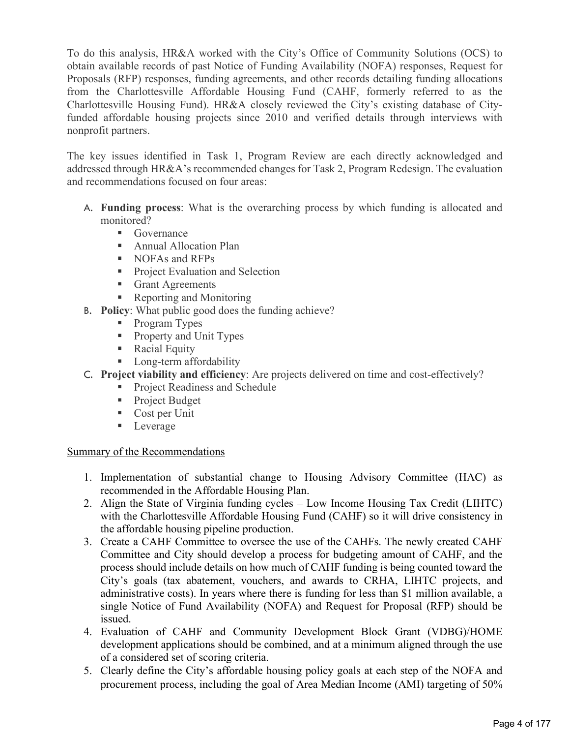To do this analysis, HR&A worked with the City's Office of Community Solutions (OCS) to obtain available records of past Notice of Funding Availability (NOFA) responses, Request for Proposals (RFP) responses, funding agreements, and other records detailing funding allocations from the Charlottesville Affordable Housing Fund (CAHF, formerly referred to as the Charlottesville Housing Fund). HR&A closely reviewed the City's existing database of Cityfunded affordable housing projects since 2010 and verified details through interviews with nonprofit partners.

The key issues identified in Task 1, Program Review are each directly acknowledged and addressed through HR&A's recommended changes for Task 2, Program Redesign. The evaluation and recommendations focused on four areas:

- A. **Funding process**: What is the overarching process by which funding is allocated and monitored?
	- Governance
	- **Annual Allocation Plan**
	- NOFAs and RFPs
	- **Project Evaluation and Selection**
	- Grant Agreements
	- Reporting and Monitoring
- B. **Policy**: What public good does the funding achieve?
	- Program Types
	- **Property and Unit Types**
	- **Racial Equity**
	- **Long-term affordability**
- C. **Project viability and efficiency**: Are projects delivered on time and cost-effectively?
	- **Project Readiness and Schedule**
	- **Project Budget**
	- Cost per Unit
	- **Leverage**

# Summary of the Recommendations

- 1. Implementation of substantial change to Housing Advisory Committee (HAC) as recommended in the Affordable Housing Plan.
- 2. Align the State of Virginia funding cycles Low Income Housing Tax Credit (LIHTC) with the Charlottesville Affordable Housing Fund (CAHF) so it will drive consistency in the affordable housing pipeline production.
- 3. Create a CAHF Committee to oversee the use of the CAHFs. The newly created CAHF Committee and City should develop a process for budgeting amount of CAHF, and the process should include details on how much of CAHF funding is being counted toward the City's goals (tax abatement, vouchers, and awards to CRHA, LIHTC projects, and administrative costs). In years where there is funding for less than \$1 million available, a single Notice of Fund Availability (NOFA) and Request for Proposal (RFP) should be issued.
- 4. Evaluation of CAHF and Community Development Block Grant (VDBG)/HOME development applications should be combined, and at a minimum aligned through the use of a considered set of scoring criteria.
- 5. Clearly define the City's affordable housing policy goals at each step of the NOFA and procurement process, including the goal of Area Median Income (AMI) targeting of 50%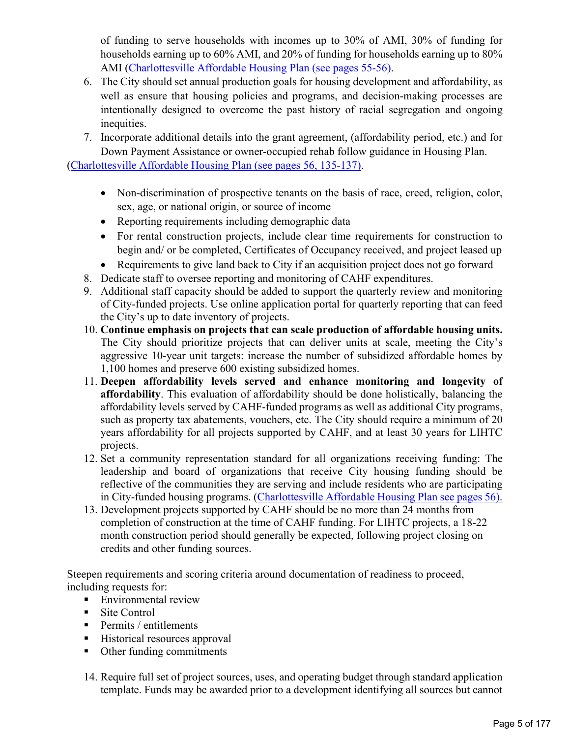of funding to serve households with incomes up to 30% of AMI, 30% of funding for households earning up to 60% AMI, and 20% of funding for households earning up to 80% AMI [\(Charlottesville Affordable Housing Plan \(see pages 55-56\).](https://drive.google.com/file/d/1GVLEMlYLM4nrNcfDAeHSlooJvzwqDco2/view)

- 6. The City should set annual production goals for housing development and affordability, as well as ensure that housing policies and programs, and decision-making processes are intentionally designed to overcome the past history of racial segregation and ongoing inequities.
- 7. Incorporate additional details into the grant agreement, (affordability period, etc.) and for Down Payment Assistance or owner-occupied rehab follow guidance in Housing Plan.

[\(Charlottesville Affordable Housing Plan \(see pages 56, 135-137\).](https://drive.google.com/file/d/1GVLEMlYLM4nrNcfDAeHSlooJvzwqDco2/view)

- Non-discrimination of prospective tenants on the basis of race, creed, religion, color, sex, age, or national origin, or source of income
- Reporting requirements including demographic data
- For rental construction projects, include clear time requirements for construction to begin and/ or be completed, Certificates of Occupancy received, and project leased up
- Requirements to give land back to City if an acquisition project does not go forward
- 8. Dedicate staff to oversee reporting and monitoring of CAHF expenditures.
- 9. Additional staff capacity should be added to support the quarterly review and monitoring of City-funded projects. Use online application portal for quarterly reporting that can feed the City's up to date inventory of projects.
- 10. **Continue emphasis on projects that can scale production of affordable housing units.** The City should prioritize projects that can deliver units at scale, meeting the City's aggressive 10-year unit targets: increase the number of subsidized affordable homes by 1,100 homes and preserve 600 existing subsidized homes.
- 11. **Deepen affordability levels served and enhance monitoring and longevity of affordability**. This evaluation of affordability should be done holistically, balancing the affordability levels served by CAHF-funded programs as well as additional City programs, such as property tax abatements, vouchers, etc. The City should require a minimum of 20 years affordability for all projects supported by CAHF, and at least 30 years for LIHTC projects.
- 12. Set a community representation standard for all organizations receiving funding: The leadership and board of organizations that receive City housing funding should be reflective of the communities they are serving and include residents who are participating in City-funded housing programs. [\(Charlottesville Affordable Housing Plan see pages 56\).](https://drive.google.com/file/d/1GVLEMlYLM4nrNcfDAeHSlooJvzwqDco2/view)
- 13. Development projects supported by CAHF should be no more than 24 months from completion of construction at the time of CAHF funding. For LIHTC projects, a 18-22 month construction period should generally be expected, following project closing on credits and other funding sources.

Steepen requirements and scoring criteria around documentation of readiness to proceed, including requests for:

- **Environmental review**
- Site Control
- $\blacksquare$  Permits / entitlements
- Historical resources approval
- Other funding commitments
- 14. Require full set of project sources, uses, and operating budget through standard application template. Funds may be awarded prior to a development identifying all sources but cannot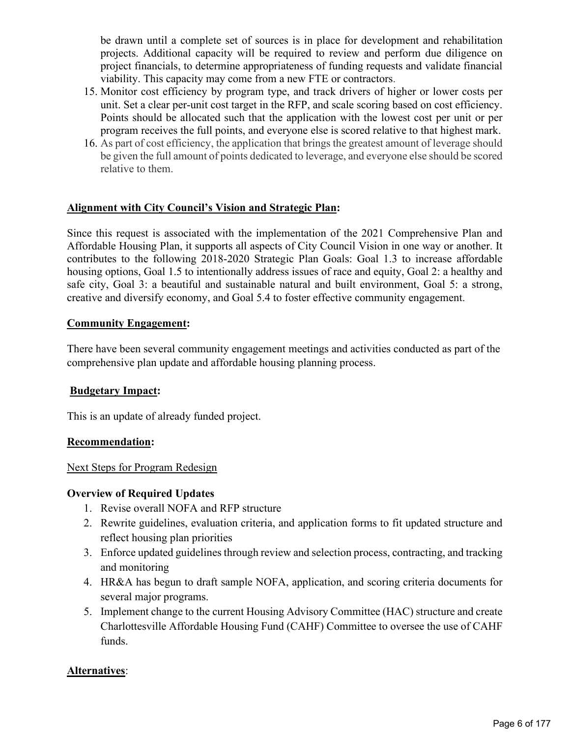be drawn until a complete set of sources is in place for development and rehabilitation projects. Additional capacity will be required to review and perform due diligence on project financials, to determine appropriateness of funding requests and validate financial viability. This capacity may come from a new FTE or contractors.

- 15. Monitor cost efficiency by program type, and track drivers of higher or lower costs per unit. Set a clear per-unit cost target in the RFP, and scale scoring based on cost efficiency. Points should be allocated such that the application with the lowest cost per unit or per program receives the full points, and everyone else is scored relative to that highest mark.
- 16. As part of cost efficiency, the application that brings the greatest amount of leverage should be given the full amount of points dedicated to leverage, and everyone else should be scored relative to them.

# **Alignment with City Council's Vision and Strategic Plan:**

Since this request is associated with the implementation of the 2021 Comprehensive Plan and Affordable Housing Plan, it supports all aspects of City Council Vision in one way or another. It contributes to the following 2018-2020 Strategic Plan Goals: Goal 1.3 to increase affordable housing options, Goal 1.5 to intentionally address issues of race and equity, Goal 2: a healthy and safe city, Goal 3: a beautiful and sustainable natural and built environment, Goal 5: a strong, creative and diversify economy, and Goal 5.4 to foster effective community engagement.

# **Community Engagement:**

There have been several community engagement meetings and activities conducted as part of the comprehensive plan update and affordable housing planning process.

# **Budgetary Impact:**

This is an update of already funded project.

## **Recommendation:**

# Next Steps for Program Redesign

## **Overview of Required Updates**

- 1. Revise overall NOFA and RFP structure
- 2. Rewrite guidelines, evaluation criteria, and application forms to fit updated structure and reflect housing plan priorities
- 3. Enforce updated guidelines through review and selection process, contracting, and tracking and monitoring
- 4. HR&A has begun to draft sample NOFA, application, and scoring criteria documents for several major programs.
- 5. Implement change to the current Housing Advisory Committee (HAC) structure and create Charlottesville Affordable Housing Fund (CAHF) Committee to oversee the use of CAHF funds.

# **Alternatives**: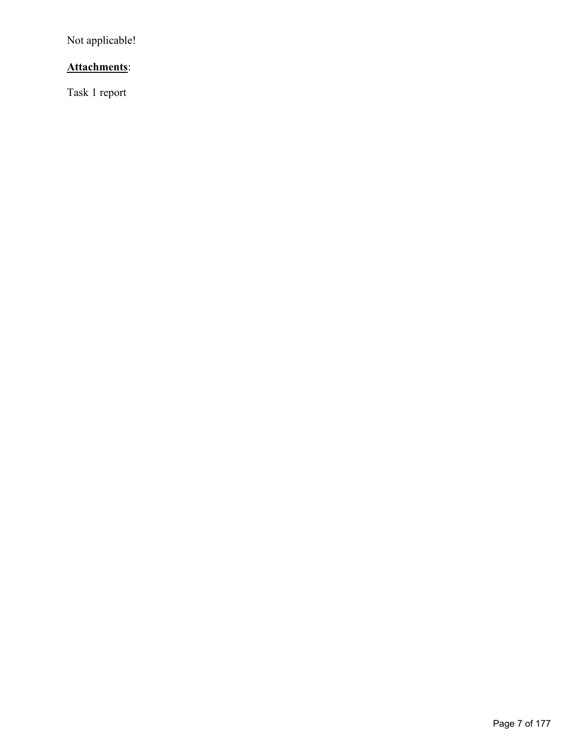Not applicable!

# **Attachments**:

Task 1 report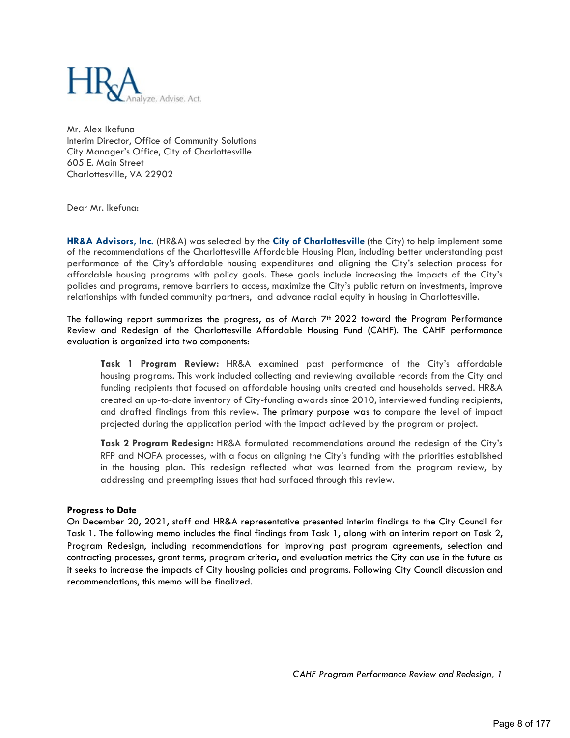

Mr. Alex Ikefuna Interim Director, Office of Community Solutions City Manager's Office, City of Charlottesville 605 E. Main Street Charlottesville, VA 22902

Dear Mr. Ikefuna:

**HR&A Advisors, Inc.** (HR&A) was selected by the **City of Charlottesville** (the City) to help implement some of the recommendations of the Charlottesville Affordable Housing Plan, including better understanding past performance of the City's affordable housing expenditures and aligning the City's selection process for affordable housing programs with policy goals. These goals include increasing the impacts of the City's policies and programs, remove barriers to access, maximize the City's public return on investments, improve relationships with funded community partners, and advance racial equity in housing in Charlottesville.

The following report summarizes the progress, as of March  $7<sup>th</sup>$  2022 toward the Program Performance Review and Redesign of the Charlottesville Affordable Housing Fund (CAHF). The CAHF performance evaluation is organized into two components:

**Task 1 Program Review:** HR&A examined past performance of the City's affordable housing programs. This work included collecting and reviewing available records from the City and funding recipients that focused on affordable housing units created and households served. HR&A created an up-to-date inventory of City-funding awards since 2010, interviewed funding recipients, and drafted findings from this review. The primary purpose was to compare the level of impact projected during the application period with the impact achieved by the program or project.

**Task 2 Program Redesign:** HR&A formulated recommendations around the redesign of the City's RFP and NOFA processes, with a focus on aligning the City's funding with the priorities established in the housing plan. This redesign reflected what was learned from the program review, by addressing and preempting issues that had surfaced through this review.

## **Progress to Date**

On December 20, 2021, staff and HR&A representative presented interim findings to the City Council for Task 1. The following memo includes the final findings from Task 1, along with an interim report on Task 2, Program Redesign, including recommendations for improving past program agreements, selection and contracting processes, grant terms, program criteria, and evaluation metrics the City can use in the future as it seeks to increase the impacts of City housing policies and programs. Following City Council discussion and recommendations, this memo will be finalized.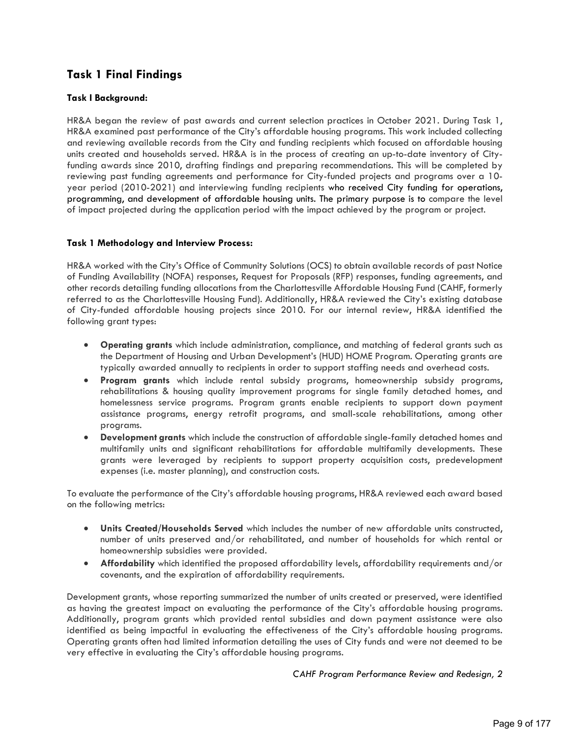# **Task 1 Final Findings**

## **Task I Background:**

HR&A began the review of past awards and current selection practices in October 2021. During Task 1, HR&A examined past performance of the City's affordable housing programs. This work included collecting and reviewing available records from the City and funding recipients which focused on affordable housing units created and households served. HR&A is in the process of creating an up-to-date inventory of Cityfunding awards since 2010, drafting findings and preparing recommendations. This will be completed by reviewing past funding agreements and performance for City-funded projects and programs over a 10 year period (2010-2021) and interviewing funding recipients who received City funding for operations, programming, and development of affordable housing units. The primary purpose is to compare the level of impact projected during the application period with the impact achieved by the program or project.

## **Task 1 Methodology and Interview Process:**

HR&A worked with the City's Office of Community Solutions (OCS) to obtain available records of past Notice of Funding Availability (NOFA) responses, Request for Proposals (RFP) responses, funding agreements, and other records detailing funding allocations from the Charlottesville Affordable Housing Fund (CAHF, formerly referred to as the Charlottesville Housing Fund). Additionally, HR&A reviewed the City's existing database of City-funded affordable housing projects since 2010. For our internal review, HR&A identified the following grant types:

- **Operating grants** which include administration, compliance, and matching of federal grants such as the Department of Housing and Urban Development's (HUD) HOME Program. Operating grants are typically awarded annually to recipients in order to support staffing needs and overhead costs.
- **Program grants** which include rental subsidy programs, homeownership subsidy programs, rehabilitations & housing quality improvement programs for single family detached homes, and homelessness service programs. Program grants enable recipients to support down payment assistance programs, energy retrofit programs, and small-scale rehabilitations, among other programs.
- **Development grants** which include the construction of affordable single-family detached homes and multifamily units and significant rehabilitations for affordable multifamily developments. These grants were leveraged by recipients to support property acquisition costs, predevelopment expenses (i.e. master planning), and construction costs.

To evaluate the performance of the City's affordable housing programs, HR&A reviewed each award based on the following metrics:

- **Units Created/Households Served** which includes the number of new affordable units constructed, number of units preserved and/or rehabilitated, and number of households for which rental or homeownership subsidies were provided.
- **Affordability** which identified the proposed affordability levels, affordability requirements and/or covenants, and the expiration of affordability requirements.

Development grants, whose reporting summarized the number of units created or preserved, were identified as having the greatest impact on evaluating the performance of the City's affordable housing programs. Additionally, program grants which provided rental subsidies and down payment assistance were also identified as being impactful in evaluating the effectiveness of the City's affordable housing programs. Operating grants often had limited information detailing the uses of City funds and were not deemed to be very effective in evaluating the City's affordable housing programs.

*CAHF Program Performance Review and Redesign, 2*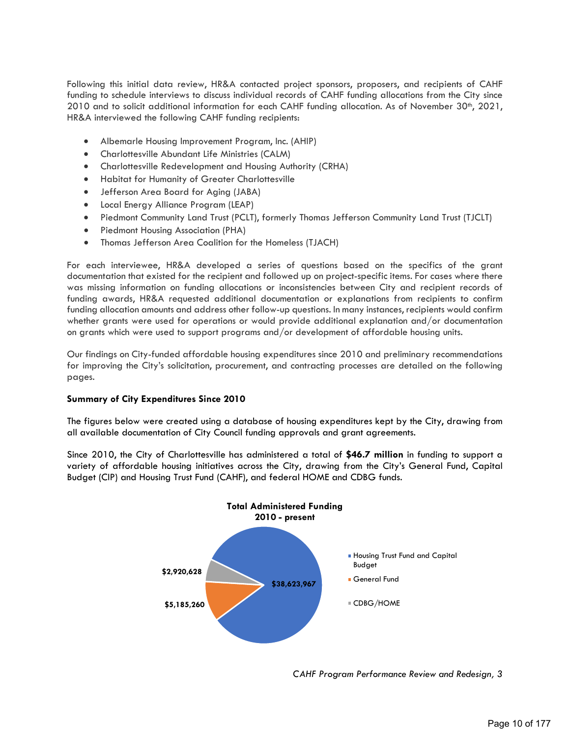Following this initial data review, HR&A contacted project sponsors, proposers, and recipients of CAHF funding to schedule interviews to discuss individual records of CAHF funding allocations from the City since 2010 and to solicit additional information for each CAHF funding allocation. As of November 30<sup>th</sup>, 2021, HR&A interviewed the following CAHF funding recipients:

- Albemarle Housing Improvement Program, Inc. (AHIP)
- Charlottesville Abundant Life Ministries (CALM)
- Charlottesville Redevelopment and Housing Authority (CRHA)
- Habitat for Humanity of Greater Charlottesville
- Jefferson Area Board for Aging (JABA)
- Local Energy Alliance Program (LEAP)
- Piedmont Community Land Trust (PCLT), formerly Thomas Jefferson Community Land Trust (TJCLT)
- Piedmont Housing Association (PHA)
- Thomas Jefferson Area Coalition for the Homeless (TJACH)

For each interviewee, HR&A developed a series of questions based on the specifics of the grant documentation that existed for the recipient and followed up on project-specific items. For cases where there was missing information on funding allocations or inconsistencies between City and recipient records of funding awards, HR&A requested additional documentation or explanations from recipients to confirm funding allocation amounts and address other follow-up questions. In many instances, recipients would confirm whether grants were used for operations or would provide additional explanation and/or documentation on grants which were used to support programs and/or development of affordable housing units.

Our findings on City-funded affordable housing expenditures since 2010 and preliminary recommendations for improving the City's solicitation, procurement, and contracting processes are detailed on the following pages.

## **Summary of City Expenditures Since 2010**

The figures below were created using a database of housing expenditures kept by the City, drawing from all available documentation of City Council funding approvals and grant agreements.

Since 2010, the City of Charlottesville has administered a total of **\$46.7 million** in funding to support a variety of affordable housing initiatives across the City, drawing from the City's General Fund, Capital Budget (CIP) and Housing Trust Fund (CAHF), and federal HOME and CDBG funds.



*CAHF Program Performance Review and Redesign, 3*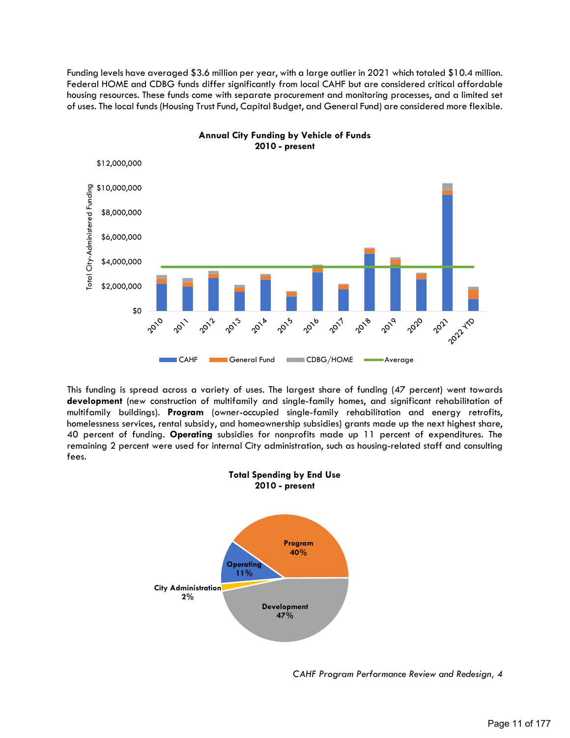Funding levels have averaged \$3.6 million per year, with a large outlier in 2021 which totaled \$10.4 million. Federal HOME and CDBG funds differ significantly from local CAHF but are considered critical affordable housing resources. These funds come with separate procurement and monitoring processes, and a limited set of uses. The local funds (Housing Trust Fund, Capital Budget, and General Fund) are considered more flexible.



**Annual City Funding by Vehicle of Funds 2010 - present**

This funding is spread across a variety of uses. The largest share of funding (47 percent) went towards **development** (new construction of multifamily and single-family homes, and significant rehabilitation of multifamily buildings). **Program** (owner-occupied single-family rehabilitation and energy retrofits, homelessness services, rental subsidy, and homeownership subsidies) grants made up the next highest share, 40 percent of funding. **Operating** subsidies for nonprofits made up 11 percent of expenditures. The remaining 2 percent were used for internal City administration, such as housing-related staff and consulting fees.



*CAHF Program Performance Review and Redesign, 4*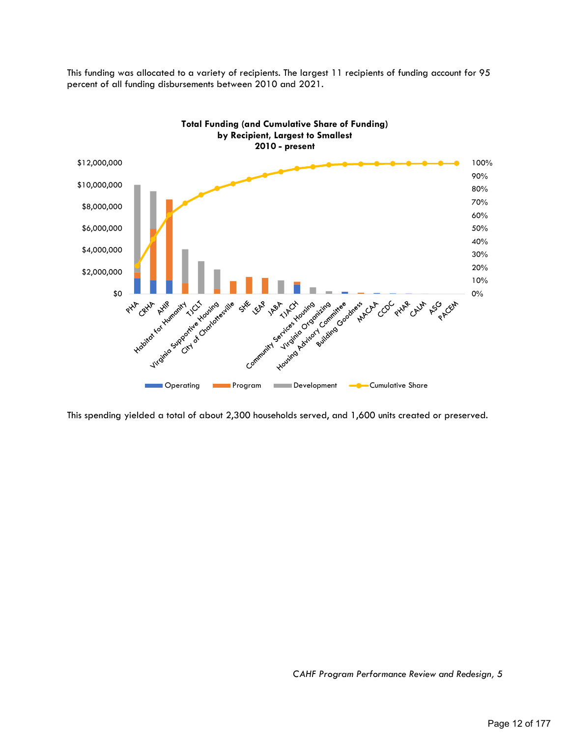



This spending yielded a total of about 2,300 households served, and 1,600 units created or preserved.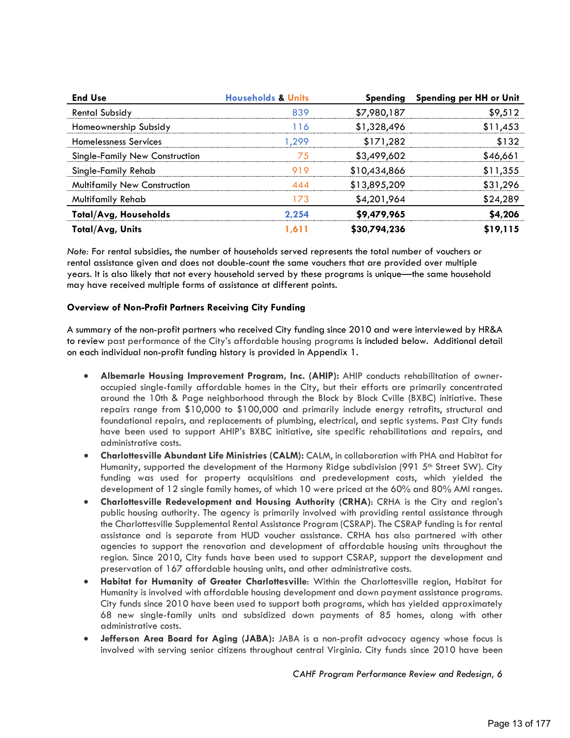| <b>End Use</b>                        | <b>Households &amp; Units</b> |              | Spending Spending per HH or Unit |
|---------------------------------------|-------------------------------|--------------|----------------------------------|
| <b>Rental Subsidy</b>                 | १२०                           | \$7,980,187  | \$9.512                          |
| Homeownership Subsidy                 | C                             | \$1,328,496  | 311,453                          |
| <b>Homelessness Services</b>          | 299                           | \$171,282    | 132                              |
| <b>Single-Family New Construction</b> |                               | \$3,499,602  | 16.66                            |
| Single-Family Rehab                   |                               | \$10,434,866 | \$11.355                         |
| <b>Multifamily New Construction</b>   |                               | \$13,895,209 | \$31,296                         |
| <b>Multifamily Rehab</b>              | 173                           | \$4,201,964  | \$24,289                         |
| <b>Total/Avg, Households</b>          | 2.254                         | \$9,479,965  | <b>4.206</b>                     |
| Total/Avg, Units                      |                               | \$30,794,236 | 19.115                           |

*Note:* For rental subsidies, the number of households served represents the total number of vouchers or rental assistance given and does not double-count the same vouchers that are provided over multiple years. It is also likely that not every household served by these programs is unique—the same household may have received multiple forms of assistance at different points.

## **Overview of Non-Profit Partners Receiving City Funding**

A summary of the non-profit partners who received City funding since 2010 and were interviewed by HR&A to review past performance of the City's affordable housing programs is included below. Additional detail on each individual non-profit funding history is provided in Appendix 1.

- **Albemarle Housing Improvement Program, Inc. (AHIP):** AHIP conducts rehabilitation of owneroccupied single-family affordable homes in the City, but their efforts are primarily concentrated around the 10th & Page neighborhood through the Block by Block Cville (BXBC) initiative. These repairs range from \$10,000 to \$100,000 and primarily include energy retrofits, structural and foundational repairs, and replacements of plumbing, electrical, and septic systems. Past City funds have been used to support AHIP's BXBC initiative, site specific rehabilitations and repairs, and administrative costs.
- **Charlottesville Abundant Life Ministries (CALM):** CALM, in collaboration with PHA and Habitat for Humanity, supported the development of the Harmony Ridge subdivision (991 5<sup>th</sup> Street SW). City funding was used for property acquisitions and predevelopment costs, which yielded the development of 12 single family homes, of which 10 were priced at the 60% and 80% AMI ranges.
- **Charlottesville Redevelopment and Housing Authority (CRHA)**: CRHA is the City and region's public housing authority. The agency is primarily involved with providing rental assistance through the Charlottesville Supplemental Rental Assistance Program (CSRAP). The CSRAP funding is for rental assistance and is separate from HUD voucher assistance. CRHA has also partnered with other agencies to support the renovation and development of affordable housing units throughout the region. Since 2010, City funds have been used to support CSRAP, support the development and preservation of 167 affordable housing units, and other administrative costs.
- **Habitat for Humanity of Greater Charlottesville**: Within the Charlottesville region, Habitat for Humanity is involved with affordable housing development and down payment assistance programs. City funds since 2010 have been used to support both programs, which has yielded approximately 68 new single-family units and subsidized down payments of 85 homes, along with other administrative costs.
- **Jefferson Area Board for Aging (JABA):** JABA is a non-profit advocacy agency whose focus is involved with serving senior citizens throughout central Virginia. City funds since 2010 have been

*CAHF Program Performance Review and Redesign, 6*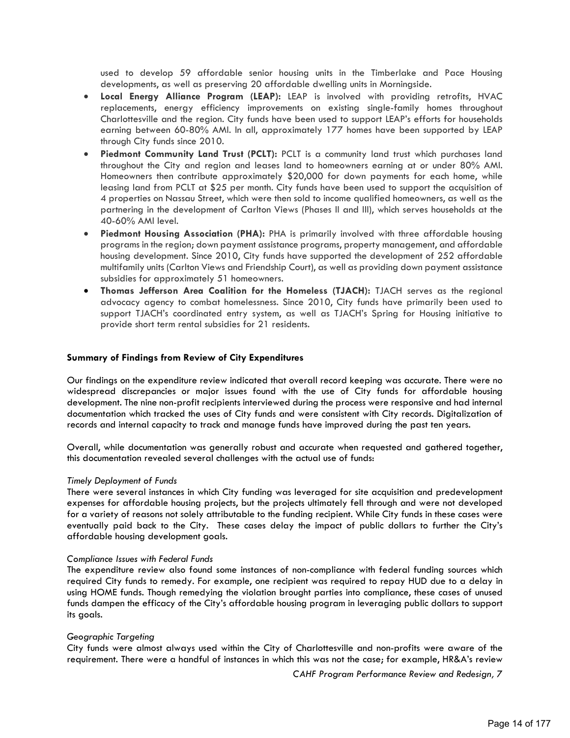used to develop 59 affordable senior housing units in the Timberlake and Pace Housing developments, as well as preserving 20 affordable dwelling units in Morningside.

- **Local Energy Alliance Program (LEAP):** LEAP is involved with providing retrofits, HVAC replacements, energy efficiency improvements on existing single-family homes throughout Charlottesville and the region. City funds have been used to support LEAP's efforts for households earning between 60-80% AMI. In all, approximately 177 homes have been supported by LEAP through City funds since 2010.
- **Piedmont Community Land Trust (PCLT):** PCLT is a community land trust which purchases land throughout the City and region and leases land to homeowners earning at or under 80% AMI. Homeowners then contribute approximately \$20,000 for down payments for each home, while leasing land from PCLT at \$25 per month. City funds have been used to support the acquisition of 4 properties on Nassau Street, which were then sold to income qualified homeowners, as well as the partnering in the development of Carlton Views (Phases II and III), which serves households at the 40-60% AMI level.
- **Piedmont Housing Association (PHA):** PHA is primarily involved with three affordable housing programs in the region; down payment assistance programs, property management, and affordable housing development. Since 2010, City funds have supported the development of 252 affordable multifamily units (Carlton Views and Friendship Court), as well as providing down payment assistance subsidies for approximately 51 homeowners.
- **Thomas Jefferson Area Coalition for the Homeless (TJACH):** TJACH serves as the regional advocacy agency to combat homelessness. Since 2010, City funds have primarily been used to support TJACH's coordinated entry system, as well as TJACH's Spring for Housing initiative to provide short term rental subsidies for 21 residents.

### **Summary of Findings from Review of City Expenditures**

Our findings on the expenditure review indicated that overall record keeping was accurate. There were no widespread discrepancies or major issues found with the use of City funds for affordable housing development. The nine non-profit recipients interviewed during the process were responsive and had internal documentation which tracked the uses of City funds and were consistent with City records. Digitalization of records and internal capacity to track and manage funds have improved during the past ten years.

Overall, while documentation was generally robust and accurate when requested and gathered together, this documentation revealed several challenges with the actual use of funds:

### *Timely Deployment of Funds*

There were several instances in which City funding was leveraged for site acquisition and predevelopment expenses for affordable housing projects, but the projects ultimately fell through and were not developed for a variety of reasons not solely attributable to the funding recipient. While City funds in these cases were eventually paid back to the City. These cases delay the impact of public dollars to further the City's affordable housing development goals.

### *Compliance Issues with Federal Funds*

The expenditure review also found some instances of non-compliance with federal funding sources which required City funds to remedy. For example, one recipient was required to repay HUD due to a delay in using HOME funds. Though remedying the violation brought parties into compliance, these cases of unused funds dampen the efficacy of the City's affordable housing program in leveraging public dollars to support its goals.

### *Geographic Targeting*

City funds were almost always used within the City of Charlottesville and non-profits were aware of the requirement. There were a handful of instances in which this was not the case; for example, HR&A's review

*CAHF Program Performance Review and Redesign, 7*